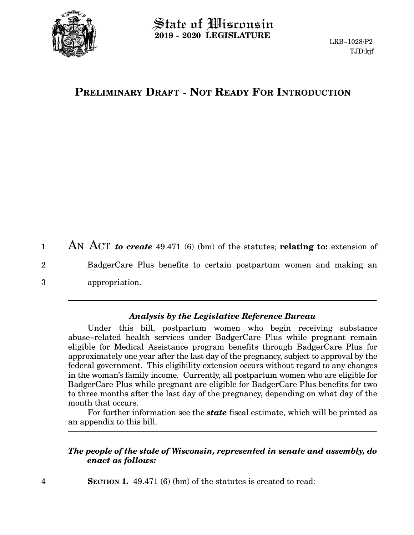

## $\operatorname{\mathsf{State}}$  of Wisconsin **2019 - 2020 LEGISLATURE**

# **PRELIMINARY DRAFT - NOT READY FOR INTRODUCTION**

AN ACT *to create* 49.471 (6) (bm) of the statutes; **relating to:** extension of BadgerCare Plus benefits to certain postpartum women and making an appropriation. 1 2 3

#### *Analysis by the Legislative Reference Bureau*

Under this bill, postpartum women who begin receiving substance abuse-related health services under BadgerCare Plus while pregnant remain eligible for Medical Assistance program benefits through BadgerCare Plus for approximately one year after the last day of the pregnancy, subject to approval by the federal government. This eligibility extension occurs without regard to any changes in the woman's family income. Currently, all postpartum women who are eligible for BadgerCare Plus while pregnant are eligible for BadgerCare Plus benefits for two to three months after the last day of the pregnancy, depending on what day of the month that occurs.

For further information see the *state* fiscal estimate, which will be printed as an appendix to this bill.

### *The people of the state of Wisconsin, represented in senate and assembly, do enact as follows:*

**SECTION 1.** 49.471 (6) (bm) of the statutes is created to read: